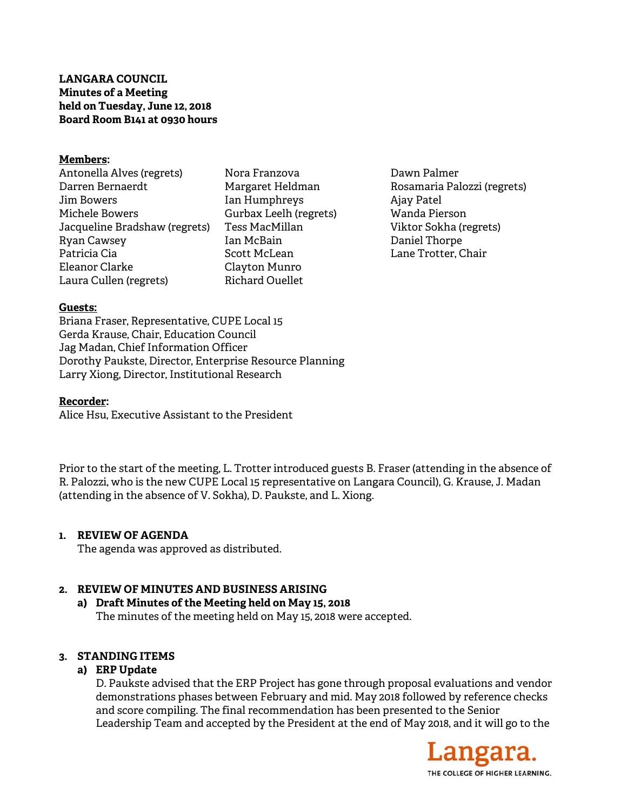**LANGARA COUNCIL Minutes of a Meeting held on Tuesday, June 12, 2018 Board Room B141 at 0930 hours** 

### **Members:**

Antonella Alves (regrets) Darren Bernaerdt Jim Bowers Michele Bowers Jacqueline Bradshaw (regrets) Ryan Cawsey Patricia Cia Eleanor Clarke Laura Cullen (regrets)

Nora Franzova Margaret Heldman Ian Humphreys Gurbax Leelh (regrets) Tess MacMillan Ian McBain Scott McLean Clayton Munro Richard Ouellet

Dawn Palmer Rosamaria Palozzi (regrets) Ajay Patel Wanda Pierson Viktor Sokha (regrets) Daniel Thorpe Lane Trotter, Chair

#### **Guests:**

Briana Fraser, Representative, CUPE Local 15 Gerda Krause, Chair, Education Council Jag Madan, Chief Information Officer Dorothy Paukste, Director, Enterprise Resource Planning Larry Xiong, Director, Institutional Research

#### **Recorder:**

Alice Hsu, Executive Assistant to the President

Prior to the start of the meeting, L. Trotter introduced guests B. Fraser (attending in the absence of R. Palozzi, who is the new CUPE Local 15 representative on Langara Council), G. Krause, J. Madan (attending in the absence of V. Sokha), D. Paukste, and L. Xiong.

### **1. REVIEW OF AGENDA**

The agenda was approved as distributed.

### **2. REVIEW OF MINUTES AND BUSINESS ARISING**

**a) Draft Minutes of the Meeting held on May 15, 2018**  The minutes of the meeting held on May 15, 2018 were accepted.

### **3. STANDING ITEMS**

#### **a) ERP Update**

D. Paukste advised that the ERP Project has gone through proposal evaluations and vendor demonstrations phases between February and mid. May 2018 followed by reference checks and score compiling. The final recommendation has been presented to the Senior Leadership Team and accepted by the President at the end of May 2018, and it will go to the

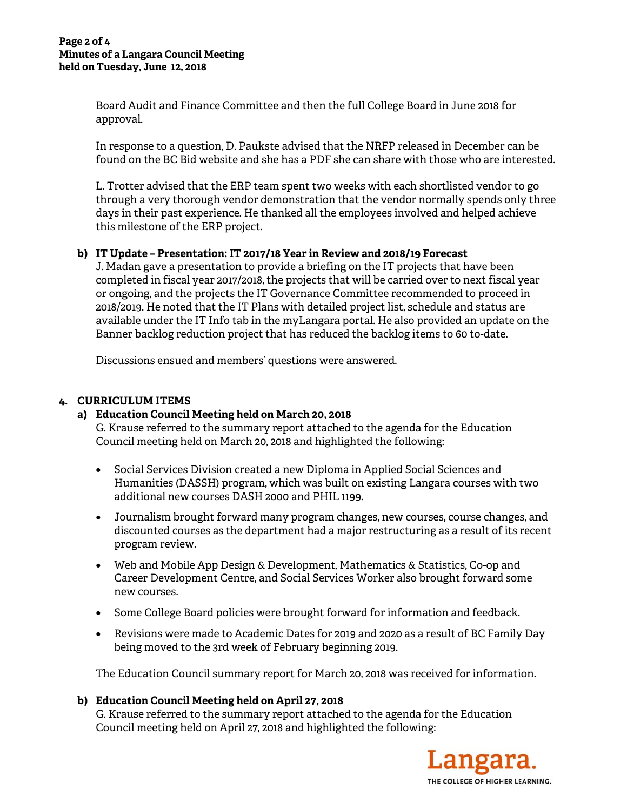Board Audit and Finance Committee and then the full College Board in June 2018 for approval.

In response to a question, D. Paukste advised that the NRFP released in December can be found on the BC Bid website and she has a PDF she can share with those who are interested.

L. Trotter advised that the ERP team spent two weeks with each shortlisted vendor to go through a very thorough vendor demonstration that the vendor normally spends only three days in their past experience. He thanked all the employees involved and helped achieve this milestone of the ERP project.

# **b) IT Update – Presentation: IT 2017/18 Year in Review and 2018/19 Forecast**

J. Madan gave a presentation to provide a briefing on the IT projects that have been completed in fiscal year 2017/2018, the projects that will be carried over to next fiscal year or ongoing, and the projects the IT Governance Committee recommended to proceed in 2018/2019. He noted that the IT Plans with detailed project list, schedule and status are available under the IT Info tab in the myLangara portal. He also provided an update on the Banner backlog reduction project that has reduced the backlog items to 60 to-date.

Discussions ensued and members' questions were answered.

# **4. CURRICULUM ITEMS**

## **a) Education Council Meeting held on March 20, 2018**

G. Krause referred to the summary report attached to the agenda for the Education Council meeting held on March 20, 2018 and highlighted the following:

- Social Services Division created a new Diploma in Applied Social Sciences and Humanities (DASSH) program, which was built on existing Langara courses with two additional new courses DASH 2000 and PHIL 1199.
- Journalism brought forward many program changes, new courses, course changes, and discounted courses as the department had a major restructuring as a result of its recent program review.
- Web and Mobile App Design & Development, Mathematics & Statistics, Co-op and Career Development Centre, and Social Services Worker also brought forward some new courses.
- Some College Board policies were brought forward for information and feedback.
- Revisions were made to Academic Dates for 2019 and 2020 as a result of BC Family Day being moved to the 3rd week of February beginning 2019.

The Education Council summary report for March 20, 2018 was received for information.

## **b) Education Council Meeting held on April 27, 2018**

G. Krause referred to the summary report attached to the agenda for the Education Council meeting held on April 27, 2018 and highlighted the following:

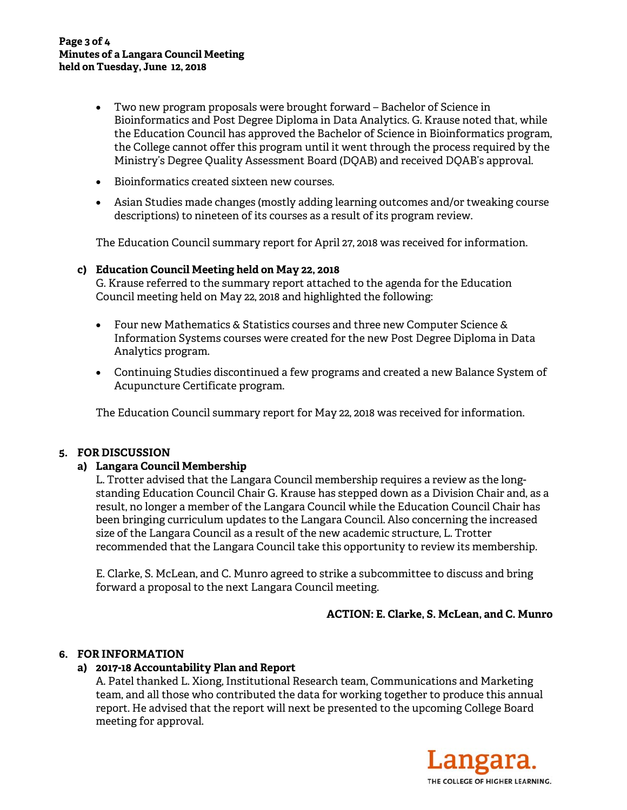#### **Page 3 of 4 Minutes of a Langara Council Meeting held on Tuesday, June 12, 2018**

- Two new program proposals were brought forward Bachelor of Science in Bioinformatics and Post Degree Diploma in Data Analytics. G. Krause noted that, while the Education Council has approved the Bachelor of Science in Bioinformatics program, the College cannot offer this program until it went through the process required by the Ministry's Degree Quality Assessment Board (DQAB) and received DQAB's approval.
- Bioinformatics created sixteen new courses.
- Asian Studies made changes (mostly adding learning outcomes and/or tweaking course descriptions) to nineteen of its courses as a result of its program review.

The Education Council summary report for April 27, 2018 was received for information.

### **c) Education Council Meeting held on May 22, 2018**

G. Krause referred to the summary report attached to the agenda for the Education Council meeting held on May 22, 2018 and highlighted the following:

- Four new Mathematics & Statistics courses and three new Computer Science & Information Systems courses were created for the new Post Degree Diploma in Data Analytics program.
- Continuing Studies discontinued a few programs and created a new Balance System of Acupuncture Certificate program.

The Education Council summary report for May 22, 2018 was received for information.

## **5. FOR DISCUSSION**

## **a) Langara Council Membership**

L. Trotter advised that the Langara Council membership requires a review as the longstanding Education Council Chair G. Krause has stepped down as a Division Chair and, as a result, no longer a member of the Langara Council while the Education Council Chair has been bringing curriculum updates to the Langara Council. Also concerning the increased size of the Langara Council as a result of the new academic structure, L. Trotter recommended that the Langara Council take this opportunity to review its membership.

E. Clarke, S. McLean, and C. Munro agreed to strike a subcommittee to discuss and bring forward a proposal to the next Langara Council meeting.

## **ACTION: E. Clarke, S. McLean, and C. Munro**

### **6. FOR INFORMATION**

## **a) 2017-18 Accountability Plan and Report**

A. Patel thanked L. Xiong, Institutional Research team, Communications and Marketing team, and all those who contributed the data for working together to produce this annual report. He advised that the report will next be presented to the upcoming College Board meeting for approval.